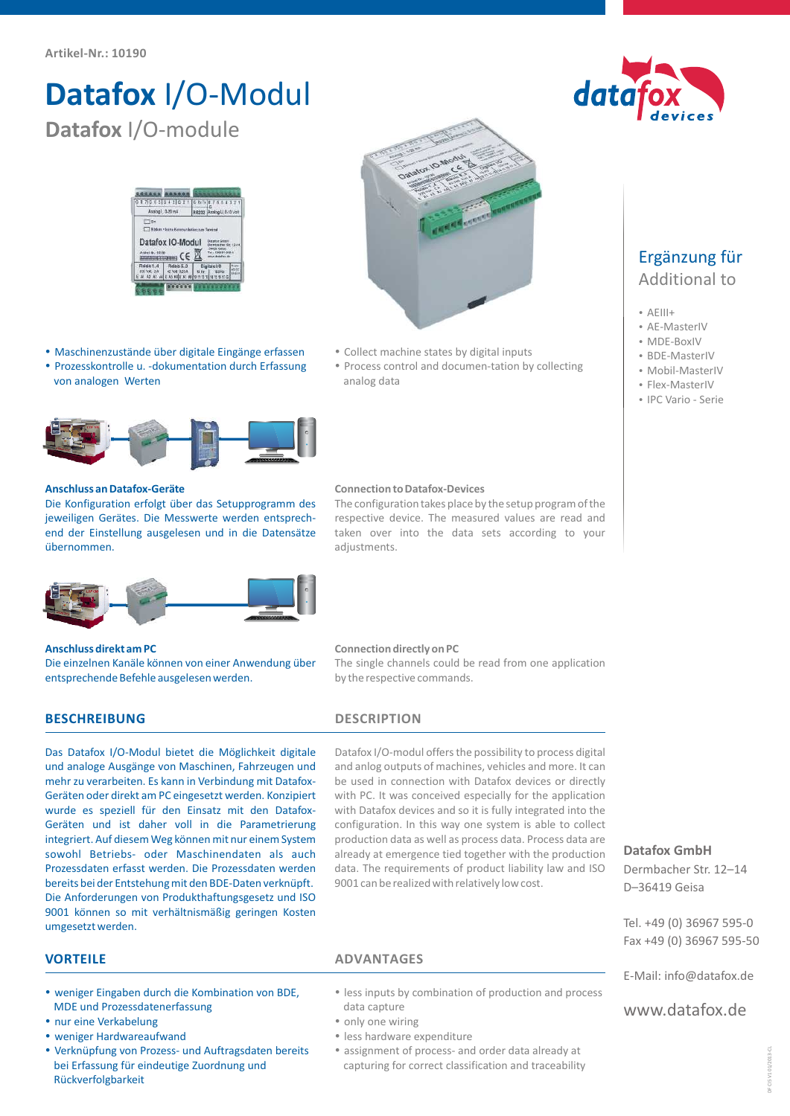# **Datafox** I/O-Modul **Datafox** I/O-module



- ??Maschinenzustände über digitale Eingänge erfassen Prozesskontrolle u. -dokumentation durch Erfassung
- Maschinenzustände über digitale Eingänge erfassen von Bollect machine states by digital inputs<br>Prozesskontrolle u. -dokumentation durch Erfassung von analog data<br>von analogen Werten von analog data



### **Anschluss an Datafox-Geräte**

Die Konfiguration erfolgt über das Setupprogramm des jeweiligen Gerätes. Die Messwerte werden entsprechend der Einstellung ausgelesen und in die Datensätze übernommen.



### **Anschluss direkt am PC**

Die einzelnen Kanäle können von einer Anwendung über entsprechende Befehle ausgelesen werden.

## **BESCHREIBUNG DESCRIPTION**

Das Datafox I/O-Modul bietet die Möglichkeit digitale und analoge Ausgänge von Maschinen, Fahrzeugen und mehr zu verarbeiten. Es kann in Verbindung mit Datafox-Geräten oder direkt am PC eingesetzt werden. Konzipiert wurde es speziell für den Einsatz mit den Datafox-Geräten und ist daher voll in die Parametrierung integriert. Auf diesem Weg können mit nur einem System sowohl Betriebs- oder Maschinendaten als auch Prozessdaten erfasst werden. Die Prozessdaten werden bereits bei der Entstehung mit den BDE-Daten verknüpft. Die Anforderungen von Produkthaftungsgesetz und ISO 9001 können so mit verhältnismäßig geringen Kosten umgesetzt werden.

adjustments.

analog data

Datafox I/O-modul offers the possibility to process digital and anlog outputs of machines, vehicles and more. It can be used in connection with Datafox devices or directly with PC. It was conceived especially for the application with Datafox devices and so it is fully integrated into the configuration. In this way one system is able to collect production data as well as process data. Process data are already at emergence tied together with the production data. The requirements of product liability law and ISO 9001 can be realized with relatively low cost.

- ?**VORTEILE ADVANTAGES** weniger Eingaben durch die Kombination von BDE, MDE und Prozessdatenerfassung<br>• nur eine Verkabelung
- 
- weniger Hardwareaufwand
- ?weniger Hardwareaufwand Verknüpfung von Prozess- und Auftragsdaten bereits bei Erfassung für eindeutige Zuordnung und Rückverfolgbarkeit
- ?less inputs by combination of production and process
- data capture<br>• only one wiring
- 
- less hardware expenditure
- ?less hardware expenditure assignment of process- and order data already at capturing for correct classification and traceability



- 
- AEIII+<br>• AE-MasterIV
- AE-MasterIV<br>• MDE-BoxIV • MDE-BoxIV<br>• BDE-Maste
- BDE-MasterIV<br>• Mobil-Master
- Mobil-MasterIV<br>• Flex-MasterIV
- ?Flex-MasterIV IPC Vario Serie
- 

### **Datafox GmbH**

Dermbacher Str. 12–14 D–36419 Geisa

Tel. +49 (0) 36967 595-0 Fax +49 (0) 36967 595-50

E-Mail: info@datafox.de

www.datafox.de

data



by the respective commands.

**Connection directly on PC** The single channels could be read from one application

**Connection to Datafox-Devices** The configuration takes place by the setup program of the respective device. The measured values are read and taken over into the data sets according to your

• Process control and documen-tation by collecting